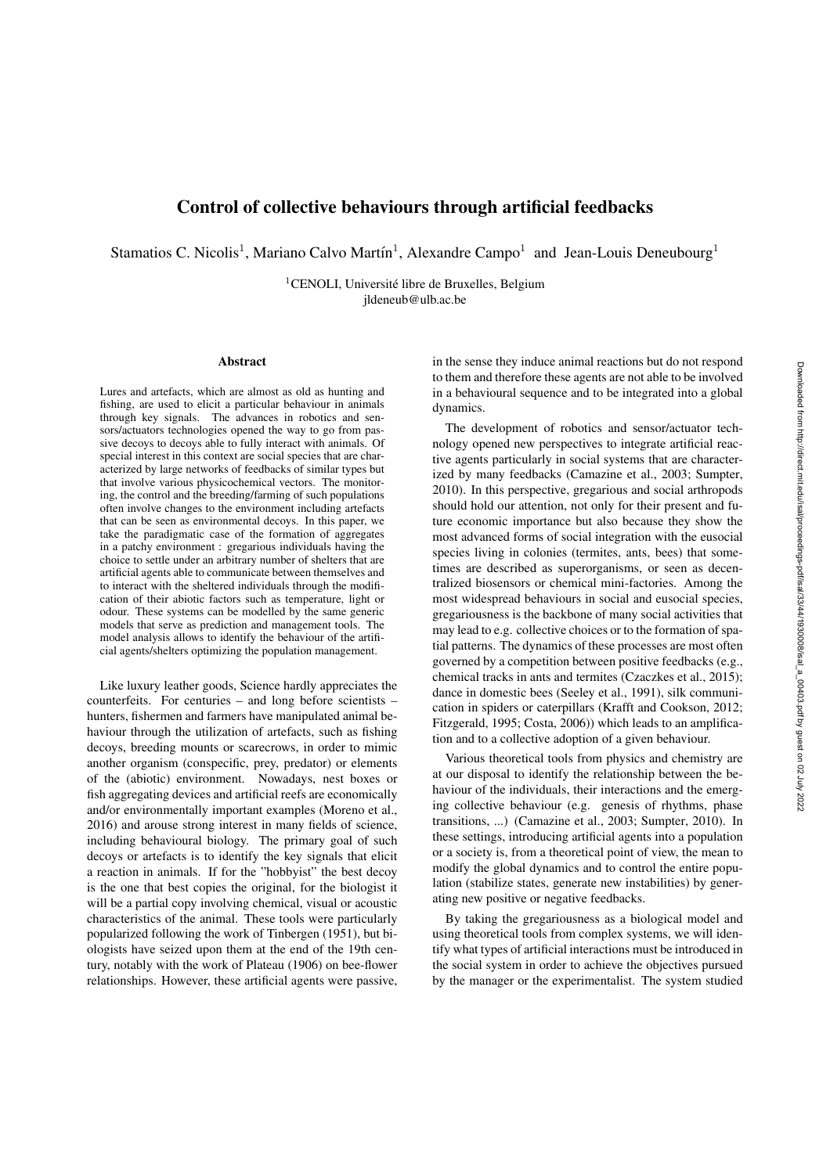## Control of collective behaviours through artificial feedbacks

Stamatios C. Nicolis<sup>1</sup>, Mariano Calvo Martín<sup>1</sup>, Alexandre Campo<sup>1</sup> and Jean-Louis Deneubourg<sup>1</sup>

 ${}^{1}$ CENOLI, Université libre de Bruxelles, Belgium jldeneub@ulb.ac.be

## Abstract

Lures and artefacts, which are almost as old as hunting and fishing, are used to elicit a particular behaviour in animals through key signals. The advances in robotics and sensors/actuators technologies opened the way to go from passive decoys to decoys able to fully interact with animals. Of special interest in this context are social species that are characterized by large networks of feedbacks of similar types but that involve various physicochemical vectors. The monitoring, the control and the breeding/farming of such populations often involve changes to the environment including artefacts that can be seen as environmental decoys. In this paper, we take the paradigmatic case of the formation of aggregates in a patchy environment : gregarious individuals having the choice to settle under an arbitrary number of shelters that are artificial agents able to communicate between themselves and to interact with the sheltered individuals through the modification of their abiotic factors such as temperature, light or odour. These systems can be modelled by the same generic models that serve as prediction and management tools. The model analysis allows to identify the behaviour of the artificial agents/shelters optimizing the population management.

Like luxury leather goods, Science hardly appreciates the counterfeits. For centuries – and long before scientists – hunters, fishermen and farmers have manipulated animal behaviour through the utilization of artefacts, such as fishing decoys, breeding mounts or scarecrows, in order to mimic another organism (conspecific, prey, predator) or elements of the (abiotic) environment. Nowadays, nest boxes or fish aggregating devices and artificial reefs are economically and/or environmentally important examples (Moreno et al., 2016) and arouse strong interest in many fields of science, including behavioural biology. The primary goal of such decoys or artefacts is to identify the key signals that elicit a reaction in animals. If for the "hobbyist" the best decoy is the one that best copies the original, for the biologist it will be a partial copy involving chemical, visual or acoustic characteristics of the animal. These tools were particularly popularized following the work of Tinbergen (1951), but biologists have seized upon them at the end of the 19th century, notably with the work of Plateau (1906) on bee-flower relationships. However, these artificial agents were passive, in the sense they induce animal reactions but do not respond to them and therefore these agents are not able to be involved in a behavioural sequence and to be integrated into a global dynamics.

The development of robotics and sensor/actuator technology opened new perspectives to integrate artificial reactive agents particularly in social systems that are characterized by many feedbacks (Camazine et al., 2003; Sumpter, 2010). In this perspective, gregarious and social arthropods should hold our attention, not only for their present and future economic importance but also because they show the most advanced forms of social integration with the eusocial species living in colonies (termites, ants, bees) that sometimes are described as superorganisms, or seen as decentralized biosensors or chemical mini-factories. Among the most widespread behaviours in social and eusocial species, gregariousness is the backbone of many social activities that may lead to e.g. collective choices or to the formation of spatial patterns. The dynamics of these processes are most often governed by a competition between positive feedbacks (e.g., chemical tracks in ants and termites (Czaczkes et al., 2015); dance in domestic bees (Seeley et al., 1991), silk communication in spiders or caterpillars (Krafft and Cookson, 2012; Fitzgerald, 1995; Costa, 2006)) which leads to an amplification and to a collective adoption of a given behaviour.

Various theoretical tools from physics and chemistry are at our disposal to identify the relationship between the behaviour of the individuals, their interactions and the emerging collective behaviour (e.g. genesis of rhythms, phase transitions, ...) (Camazine et al., 2003; Sumpter, 2010). In these settings, introducing artificial agents into a population or a society is, from a theoretical point of view, the mean to modify the global dynamics and to control the entire population (stabilize states, generate new instabilities) by generating new positive or negative feedbacks.

By taking the gregariousness as a biological model and using theoretical tools from complex systems, we will identify what types of artificial interactions must be introduced in the social system in order to achieve the objectives pursued by the manager or the experimentalist. The system studied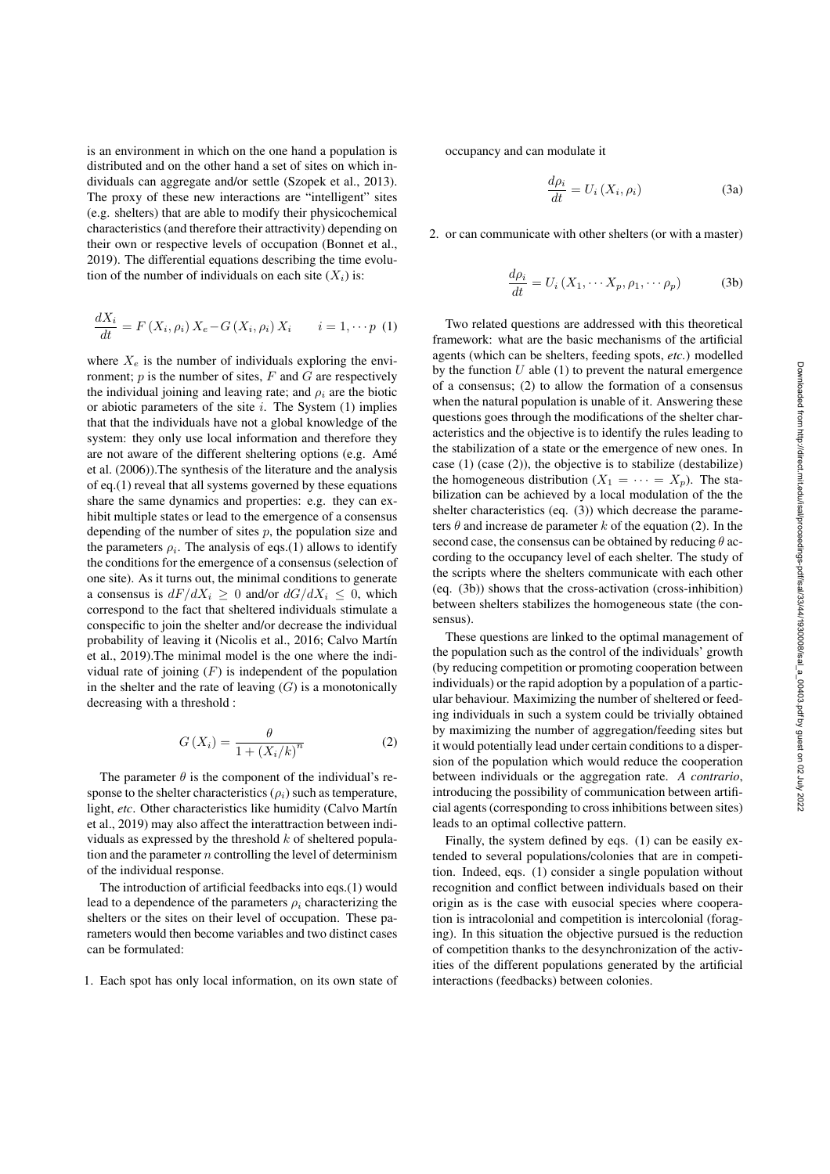is an environment in which on the one hand a population is distributed and on the other hand a set of sites on which individuals can aggregate and/or settle (Szopek et al., 2013). The proxy of these new interactions are "intelligent" sites (e.g. shelters) that are able to modify their physicochemical characteristics (and therefore their attractivity) depending on their own or respective levels of occupation (Bonnet et al., 2019). The differential equations describing the time evolution of the number of individuals on each site  $(X_i)$  is:

$$
\frac{dX_i}{dt} = F(X_i, \rho_i) X_e - G(X_i, \rho_i) X_i \qquad i = 1, \cdots p \tag{1}
$$

where  $X_e$  is the number of individuals exploring the environment; *p* is the number of sites, *F* and *G* are respectively the individual joining and leaving rate; and  $\rho_i$  are the biotic or abiotic parameters of the site *i*. The System (1) implies that that the individuals have not a global knowledge of the system: they only use local information and therefore they are not aware of the different sheltering options (e.g. Ame´ et al. (2006)).The synthesis of the literature and the analysis of eq.(1) reveal that all systems governed by these equations share the same dynamics and properties: e.g. they can exhibit multiple states or lead to the emergence of a consensus depending of the number of sites *p*, the population size and the parameters  $\rho_i$ . The analysis of eqs.(1) allows to identify the conditions for the emergence of a consensus (selection of one site). As it turns out, the minimal conditions to generate a consensus is  $dF/dX_i \geq 0$  and/or  $dG/dX_i \leq 0$ , which correspond to the fact that sheltered individuals stimulate a conspecific to join the shelter and/or decrease the individual probability of leaving it (Nicolis et al., 2016; Calvo Martín et al., 2019).The minimal model is the one where the individual rate of joining (*F*) is independent of the population in the shelter and the rate of leaving  $(G)$  is a monotonically decreasing with a threshold :

$$
G\left(X_i\right) = \frac{\theta}{1 + \left(X_i/k\right)^n} \tag{2}
$$

The parameter  $\theta$  is the component of the individual's response to the shelter characteristics  $(\rho_i)$  such as temperature, light, *etc*. Other characteristics like humidity (Calvo Martín et al., 2019) may also affect the interattraction between individuals as expressed by the threshold *k* of sheltered population and the parameter *n* controlling the level of determinism of the individual response.

The introduction of artificial feedbacks into eqs.(1) would lead to a dependence of the parameters  $\rho_i$  characterizing the shelters or the sites on their level of occupation. These parameters would then become variables and two distinct cases can be formulated:

1. Each spot has only local information, on its own state of

occupancy and can modulate it

$$
\frac{d\rho_i}{dt} = U_i \left( X_i, \rho_i \right) \tag{3a}
$$

2. or can communicate with other shelters (or with a master)

$$
\frac{d\rho_i}{dt} = U_i \left( X_1, \cdots X_p, \rho_1, \cdots \rho_p \right) \tag{3b}
$$

Two related questions are addressed with this theoretical framework: what are the basic mechanisms of the artificial agents (which can be shelters, feeding spots, *etc.*) modelled by the function *U* able (1) to prevent the natural emergence of a consensus; (2) to allow the formation of a consensus when the natural population is unable of it. Answering these questions goes through the modifications of the shelter characteristics and the objective is to identify the rules leading to the stabilization of a state or the emergence of new ones. In case (1) (case (2)), the objective is to stabilize (destabilize) the homogeneous distribution  $(X_1 = \cdots = X_p)$ . The stabilization can be achieved by a local modulation of the the shelter characteristics (eq. (3)) which decrease the parameters  $\theta$  and increase de parameter  $k$  of the equation (2). In the second case, the consensus can be obtained by reducing  $\theta$  according to the occupancy level of each shelter. The study of the scripts where the shelters communicate with each other (eq. (3b)) shows that the cross-activation (cross-inhibition) between shelters stabilizes the homogeneous state (the consensus).

These questions are linked to the optimal management of the population such as the control of the individuals' growth (by reducing competition or promoting cooperation between individuals) or the rapid adoption by a population of a particular behaviour. Maximizing the number of sheltered or feeding individuals in such a system could be trivially obtained by maximizing the number of aggregation/feeding sites but it would potentially lead under certain conditions to a dispersion of the population which would reduce the cooperation between individuals or the aggregation rate. *A contrario*, introducing the possibility of communication between artificial agents (corresponding to cross inhibitions between sites) leads to an optimal collective pattern.

Finally, the system defined by eqs. (1) can be easily extended to several populations/colonies that are in competition. Indeed, eqs. (1) consider a single population without recognition and conflict between individuals based on their origin as is the case with eusocial species where cooperation is intracolonial and competition is intercolonial (foraging). In this situation the objective pursued is the reduction of competition thanks to the desynchronization of the activities of the different populations generated by the artificial interactions (feedbacks) between colonies.